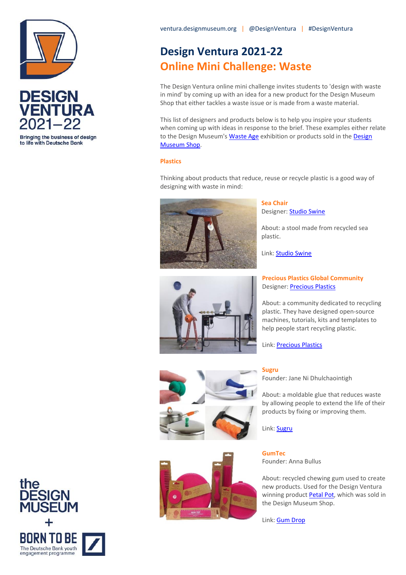



Bringing the business of design to life with Deutsche Bank

# **Design Ventura 2021-22 Online Mini Challenge: Waste**

The Design Ventura online mini challenge invites students to 'design with waste in mind' by coming up with an idea for a new product for the Design Museum Shop that either tackles a waste issue or is made from a waste material.

This list of designers and products below is to help you inspire your students when coming up with ideas in response to the brief. These examples either relate to the Design Museum'[s Waste Age](https://designmuseum.org/exhibitions/waste-age-what-can-design-do) exhibition or products sold in the Design [Museum Shop.](https://designmuseumshop.com/) 

## **Plastics**

Thinking about products that reduce, reuse or recycle plastic is a good way of designing with waste in mind:



**Sea Chair** Designer: [Studio Swine](https://studioswine.com/about/)

About: a stool made from recycled sea plastic.

Link: **Studio Swine** 



# **Precious Plastics Global Community**  Designer: [Precious Plastics](https://community.preciousplastic.com/academy)

About: a community dedicated to recycling plastic. They have designed open-source machines, tutorials, kits and templates to help people start recycling plastic.

Link: [Precious Plastics](https://www.youtube.com/watch?v=76AFNIxYjUE)





#### **Sugru**

Founder: Jane Ni Dhulchaointigh

About: a moldable glue that reduces waste by allowing people to extend the life of their products by fixing or improving them.

Link[: Sugru](https://sugru.com/what-is-sugru)

**GumTec** Founder: Anna Bullus

About: recycled chewing gum used to create new products. Used for the Design Ventura winning product [Petal Pot,](https://ventura.designmuseum.org/2018/03/09/petal-pot/) which was sold in the Design Museum Shop.

Link[: Gum Drop](https://gumdropltd.com/gumtec/)

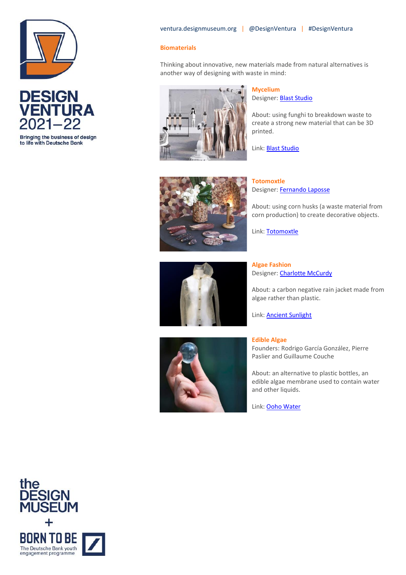



Bringing the business of design to life with Deutsche Bank

## **Biomaterials**

Thinking about innovative, new materials made from natural alternatives is another way of designing with waste in mind:



#### **Mycelium**

Designer: **[Blast Studio](https://www.blast-studio.com/)** 

About: using funghi to breakdown waste to create a strong new material that can be 3D printed.

Link[: Blast Studio](https://www.blast-studio.com/artefacts)



**Totomoxtle**  Designer[: Fernando Laposse](http://www.fernandolaposse.com/about-2/)

About: using corn husks (a waste material from corn production) to create decorative objects.

Link[: Totomoxtle](http://www.fernandolaposse.com/projects/totomoxtle/)



**Algae Fashion**  Designer[: Charlotte McCurdy](https://www.charlottemccurdy.com/)

About: a carbon negative rain jacket made from algae rather than plastic.

Link[: Ancient Sunlight](https://www.charlottemccurdy.com/ancient-sunlight)



**Edible Algae**  Founders: Rodrigo García González, Pierre Paslier and Guillaume Couche

About: an alternative to plastic bottles, an edible algae membrane used to contain water and other liquids.

Link[: Ooho Water](https://www.oohowater.com/)